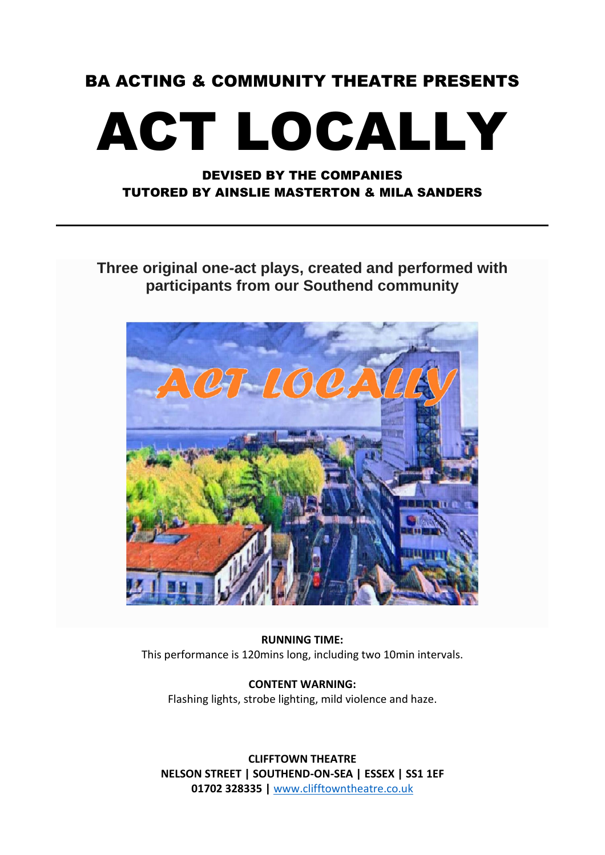#### BA ACTING & COMMUNITY THEATRE PRESENTS

# ACT LOCALLY

#### DEVISED BY THE COMPANIES TUTORED BY AINSLIE MASTERTON & MILA SANDERS

**Three original one-act plays, created and performed with participants from our Southend community**



**RUNNING TIME:** This performance is 120mins long, including two 10min intervals.

**CONTENT WARNING:** Flashing lights, strobe lighting, mild violence and haze.

**CLIFFTOWN THEATRE NELSON STREET | SOUTHEND-ON-SEA | ESSEX | SS1 1EF 01702 328335 |** [www.clifftowntheatre.co.uk](http://www.clifftowntheatre.co.uk/)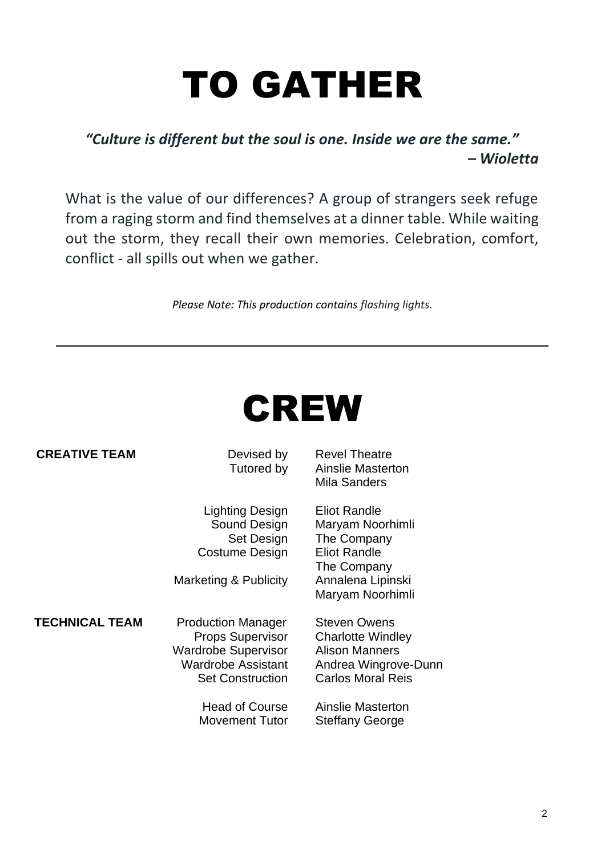# TO GATHER

#### *"Culture is different but the soul is one. Inside we are the same." – Wioletta*

What is the value of our differences? A group of strangers seek refuge from a raging storm and find themselves at a dinner table. While waiting out the storm, they recall their own memories. Celebration, comfort, conflict - all spills out when we gather.

*Please Note: This production contains flashing lights.*



| <b>CREATIVE TEAM</b>  | Devised by<br>Tutored by                                                                                                                                                              | <b>Revel Theatre</b><br>Ainslie Masterton<br>Mila Sanders                                                                                                                   |
|-----------------------|---------------------------------------------------------------------------------------------------------------------------------------------------------------------------------------|-----------------------------------------------------------------------------------------------------------------------------------------------------------------------------|
|                       | Lighting Design<br>Sound Design<br>Set Design<br><b>Costume Design</b><br>Marketing & Publicity                                                                                       | <b>Eliot Randle</b><br>Maryam Noorhimli<br>The Company<br><b>Eliot Randle</b><br>The Company<br>Annalena Lipinski<br>Maryam Noorhimli                                       |
| <b>TECHNICAL TEAM</b> | <b>Production Manager</b><br><b>Props Supervisor</b><br><b>Wardrobe Supervisor</b><br><b>Wardrobe Assistant</b><br><b>Set Construction</b><br>Head of Course<br><b>Movement Tutor</b> | <b>Steven Owens</b><br><b>Charlotte Windley</b><br><b>Alison Manners</b><br>Andrea Wingrove-Dunn<br><b>Carlos Moral Reis</b><br>Ainslie Masterton<br><b>Steffany George</b> |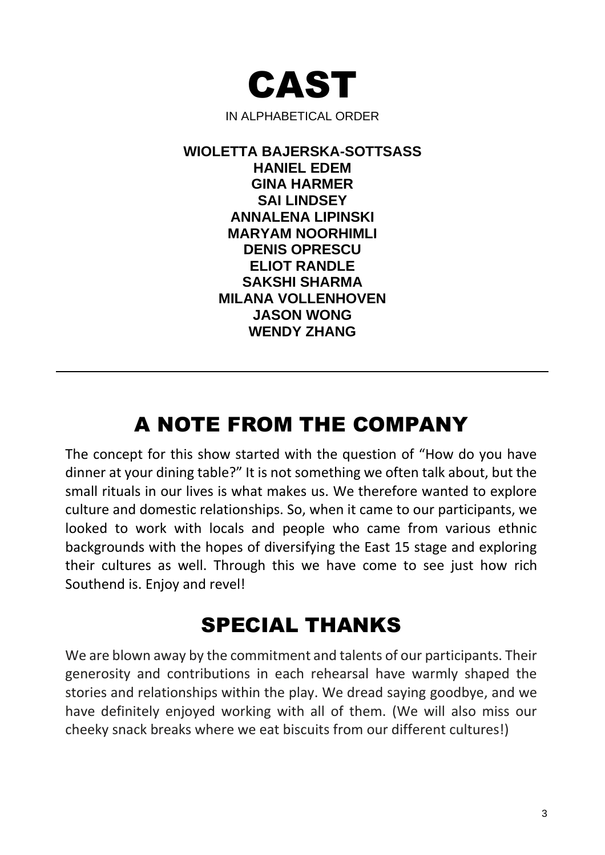

**WIOLETTA BAJERSKA-SOTTSASS HANIEL EDEM GINA HARMER SAI LINDSEY ANNALENA LIPINSKI MARYAM NOORHIMLI DENIS OPRESCU ELIOT RANDLE SAKSHI SHARMA MILANA VOLLENHOVEN JASON WONG WENDY ZHANG**

### A NOTE FROM THE COMPANY

The concept for this show started with the question of "How do you have dinner at your dining table?" It is not something we often talk about, but the small rituals in our lives is what makes us. We therefore wanted to explore culture and domestic relationships. So, when it came to our participants, we looked to work with locals and people who came from various ethnic backgrounds with the hopes of diversifying the East 15 stage and exploring their cultures as well. Through this we have come to see just how rich Southend is. Enjoy and revel!

#### SPECIAL THANKS

We are blown away by the commitment and talents of our participants. Their generosity and contributions in each rehearsal have warmly shaped the stories and relationships within the play. We dread saying goodbye, and we have definitely enjoyed working with all of them. (We will also miss our cheeky snack breaks where we eat biscuits from our different cultures!)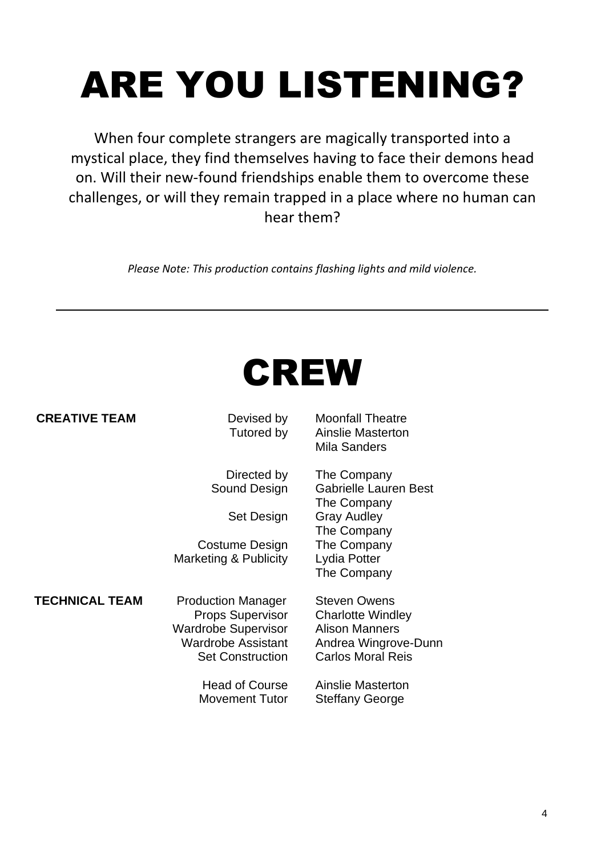# ARE YOU LISTENING?

When four complete strangers are magically transported into a mystical place, they find themselves having to face their demons head on. Will their new-found friendships enable them to overcome these challenges, or will they remain trapped in a place where no human can hear them?

*Please Note: This production contains flashing lights and mild violence.*

### CREW

| <b>CREATIVE TEAM</b> | Devised by<br>Tutored by                     | <b>Moonfall Theatre</b><br><b>Ainslie Masterton</b><br>Mila Sanders |
|----------------------|----------------------------------------------|---------------------------------------------------------------------|
|                      | Directed by<br>Sound Design                  | The Company<br><b>Gabrielle Lauren</b><br>The Company               |
|                      | Set Design                                   | <b>Gray Audley</b><br>The Company                                   |
|                      | Costume Design<br>$M$ orkoting $0$ Dublicity | The Company<br>$Ludia$ Dattor                                       |

**TECHNICAL TEAM** Production Manager Steven Owens Props Supervisor Charlotte Windley Wardrobe Supervisor Alison Manners Wardrobe Assistant Andrea Wingrove-Dunn Set Construction Carlos Moral Reis

Movement Tutor Steffany George

ted by The Company Design Gabrielle Lauren Best The Company Design Gray Audley The Company Design The Company Marketing & Publicity Lydia Potter The Company

Head of Course Ainslie Masterton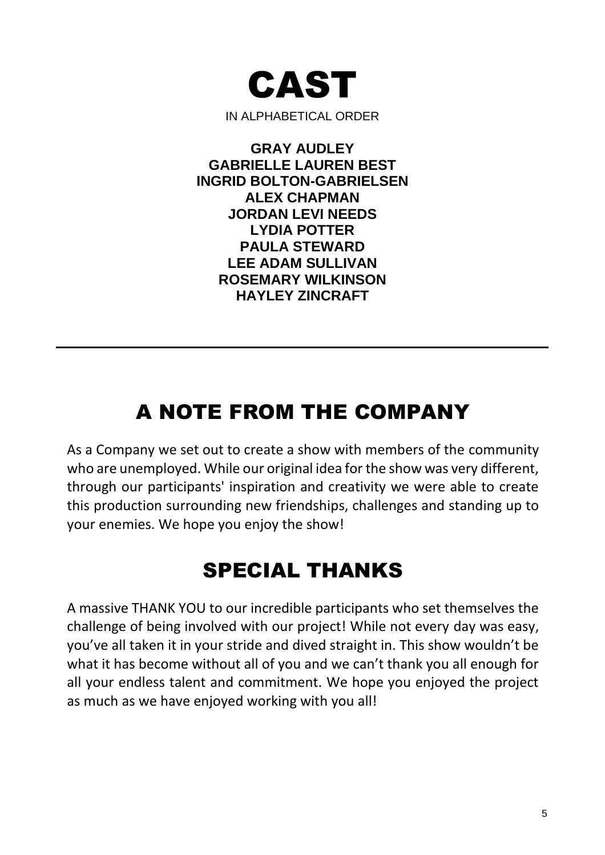

IN ALPHABETICAL ORDER

**GRAY AUDLEY GABRIELLE LAUREN BEST INGRID BOLTON-GABRIELSEN ALEX CHAPMAN JORDAN LEVI NEEDS LYDIA POTTER PAULA STEWARD LEE ADAM SULLIVAN ROSEMARY WILKINSON HAYLEY ZINCRAFT**

### A NOTE FROM THE COMPANY

As a Company we set out to create a show with members of the community who are unemployed. While our original idea for the show was very different, through our participants' inspiration and creativity we were able to create this production surrounding new friendships, challenges and standing up to your enemies. We hope you enjoy the show!

### SPECIAL THANKS

A massive THANK YOU to our incredible participants who set themselves the challenge of being involved with our project! While not every day was easy, you've all taken it in your stride and dived straight in. This show wouldn't be what it has become without all of you and we can't thank you all enough for all your endless talent and commitment. We hope you enjoyed the project as much as we have enjoyed working with you all!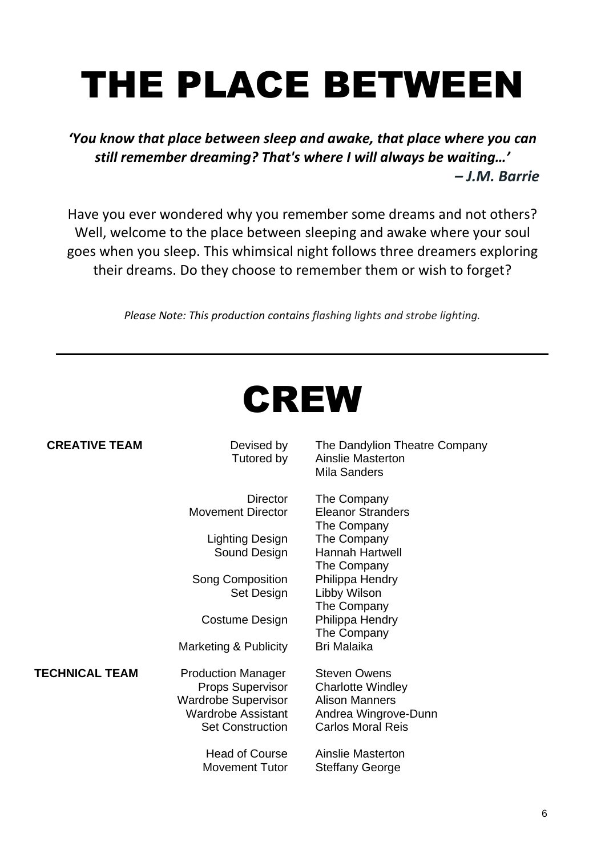## THE PLACE BETWEEN

*'You know that place between sleep and awake, that place where you can still remember dreaming? That's where I will always be waiting…' – J.M. Barrie*

Have you ever wondered why you remember some dreams and not others? Well, welcome to the place between sleeping and awake where your soul goes when you sleep. This whimsical night follows three dreamers exploring their dreams. Do they choose to remember them or wish to forget?

*Please Note: This production contains flashing lights and strobe lighting.*



| <b>CREATIVE TEAM</b>  | Devised by<br>Tutored by                                                                                                            | The Dandylion Theatre Company<br>Ainslie Masterton<br>Mila Sanders                                                           |
|-----------------------|-------------------------------------------------------------------------------------------------------------------------------------|------------------------------------------------------------------------------------------------------------------------------|
|                       | <b>Director</b><br><b>Movement Director</b>                                                                                         | The Company<br><b>Eleanor Stranders</b><br>The Company                                                                       |
|                       | Lighting Design<br>Sound Design                                                                                                     | The Company<br>Hannah Hartwell<br>The Company                                                                                |
|                       | <b>Song Composition</b><br>Set Design                                                                                               | Philippa Hendry<br>Libby Wilson<br>The Company                                                                               |
|                       | Costume Design                                                                                                                      | Philippa Hendry<br>The Company                                                                                               |
|                       | Marketing & Publicity                                                                                                               | <b>Bri Malaika</b>                                                                                                           |
| <b>TECHNICAL TEAM</b> | <b>Production Manager</b><br><b>Props Supervisor</b><br><b>Wardrobe Supervisor</b><br>Wardrobe Assistant<br><b>Set Construction</b> | <b>Steven Owens</b><br><b>Charlotte Windley</b><br><b>Alison Manners</b><br>Andrea Wingrove-Dunn<br><b>Carlos Moral Reis</b> |
|                       | <b>Head of Course</b><br>Movement Tutor                                                                                             | Ainslie Masterton<br><b>Steffany George</b>                                                                                  |